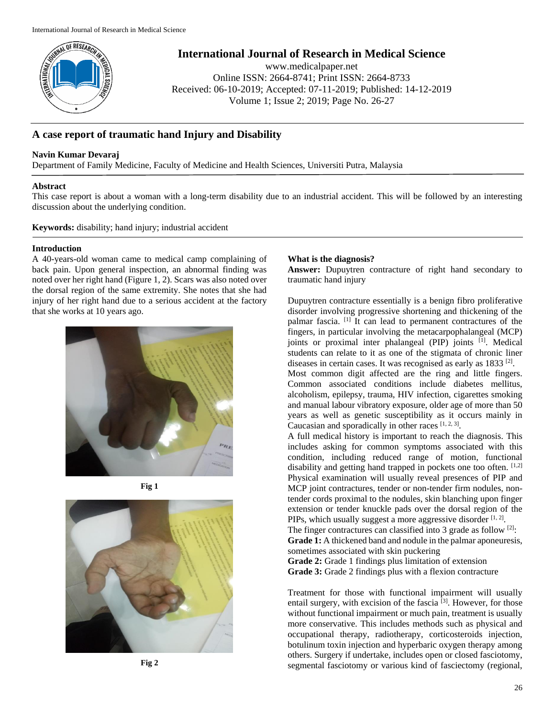

**International Journal of Research in Medical Science**

www.medicalpaper.net Online ISSN: 2664-8741; Print ISSN: 2664-8733 Received: 06-10-2019; Accepted: 07-11-2019; Published: 14-12-2019 Volume 1; Issue 2; 2019; Page No. 26-27

# **A case report of traumatic hand Injury and Disability**

### **Navin Kumar Devaraj**

Department of Family Medicine, Faculty of Medicine and Health Sciences, Universiti Putra, Malaysia

#### **Abstract**

This case report is about a woman with a long-term disability due to an industrial accident. This will be followed by an interesting discussion about the underlying condition.

**Keywords:** disability; hand injury; industrial accident

#### **Introduction**

A 40-years-old woman came to medical camp complaining of back pain. Upon general inspection, an abnormal finding was noted over her right hand (Figure 1, 2). Scars was also noted over the dorsal region of the same extremity. She notes that she had injury of her right hand due to a serious accident at the factory that she works at 10 years ago.







## **What is the diagnosis?**

**Answer:** Dupuytren contracture of right hand secondary to traumatic hand injury

Dupuytren contracture essentially is a benign fibro proliferative disorder involving progressive shortening and thickening of the palmar fascia. [1] It can lead to permanent contractures of the fingers, in particular involving the metacarpophalangeal (MCP) joints or proximal inter phalangeal (PIP) joints [1]. Medical students can relate to it as one of the stigmata of chronic liner diseases in certain cases. It was recognised as early as 1833<sup>[2]</sup>.

Most common digit affected are the ring and little fingers. Common associated conditions include diabetes mellitus, alcoholism, epilepsy, trauma, HIV infection, cigarettes smoking and manual labour vibratory exposure, older age of more than 50 years as well as genetic susceptibility as it occurs mainly in Caucasian and sporadically in other races  $[1, 2, 3]$ .

A full medical history is important to reach the diagnosis. This includes asking for common symptoms associated with this condition, including reduced range of motion, functional disability and getting hand trapped in pockets one too often. [1,2] Physical examination will usually reveal presences of PIP and MCP joint contractures, tender or non-tender firm nodules, nontender cords proximal to the nodules, skin blanching upon finger extension or tender knuckle pads over the dorsal region of the PIPs, which usually suggest a more aggressive disorder  $[1, 2]$ .

The finger contractures can classified into 3 grade as follow  $[2]$ : **Grade 1:** A thickened band and nodule in the palmar aponeuresis, sometimes associated with skin puckering

**Grade 2:** Grade 1 findings plus limitation of extension **Grade 3:** Grade 2 findings plus with a flexion contracture

Treatment for those with functional impairment will usually entail surgery, with excision of the fascia<sup>[3]</sup>. However, for those without functional impairment or much pain, treatment is usually more conservative. This includes methods such as physical and occupational therapy, radiotherapy, corticosteroids injection, botulinum toxin injection and hyperbaric oxygen therapy among others. Surgery if undertake, includes open or closed fasciotomy, segmental fasciotomy or various kind of fasciectomy (regional,

**Fig 2**